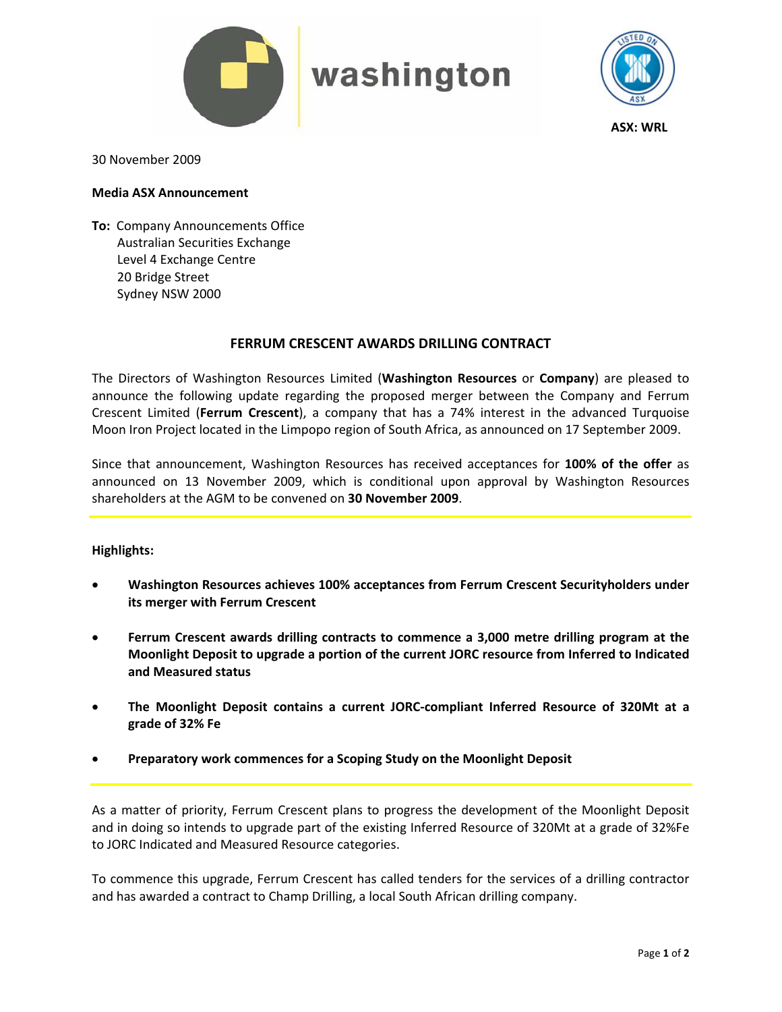

# washington



**ASX: WRL**

30 November 2009

### **Media ASX Announcement**

**To: Company Announcements Office**  Australian Securities Exchange Level 4 Exchange Centre 20 Bridge Street Sydney NSW 2000

## **FERRUM CRESCENT AWARDS DRILLING CONTRACT**

The Directors of Washington Resources Limited (**Washington Resources** or **Company**) are pleased to announce the following update regarding the proposed merger between the Company and Ferrum Crescent Limited (**Ferrum Crescent**), a company that has a 74% interest in the advanced Turquoise Moon Iron Project located in the Limpopo region of South Africa, as announced on 17 September 2009.

Since that announcement, Washington Resources has received acceptances for **100% of the offer** as announced on 13 November 2009, which is conditional upon approval by Washington Resources shareholders at the AGM to be convened on **30 November 2009**.

## **Highlights:**

- **Washington Resources achieves 100% acceptances from Ferrum Crescent Securityholders under its merger with Ferrum Crescent**
- **Ferrum Crescent awards drilling contracts to commence a 3,000 metre drilling program at the Moonlight Deposit to upgrade a portion of the current JORC resource from Inferred to Indicated and Measured status**
- **The Moonlight Deposit contains a current JORC‐compliant Inferred Resource of 320Mt at a grade of 32% Fe**
- **Preparatory work commences for a Scoping Study on the Moonlight Deposit**

As a matter of priority, Ferrum Crescent plans to progress the development of the Moonlight Deposit and in doing so intends to upgrade part of the existing Inferred Resource of 320Mt at a grade of 32%Fe to JORC Indicated and Measured Resource categories.

To commence this upgrade, Ferrum Crescent has called tenders for the services of a drilling contractor and has awarded a contract to Champ Drilling, a local South African drilling company.